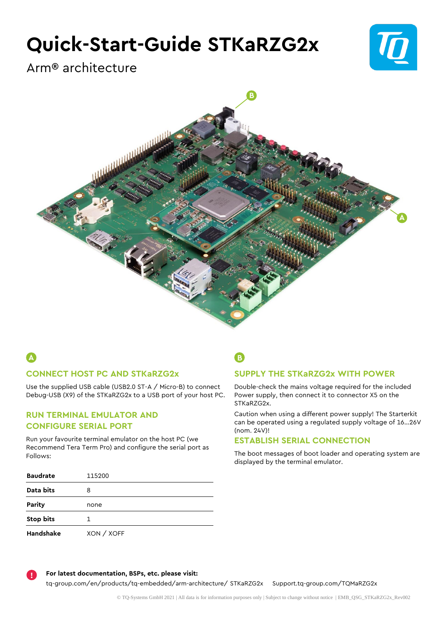# **Quick-Start-Guide STKaRZG2x**



Arm® architecture



# **CONNECT HOST PC AND STKaRZG2x A B**

Use the supplied USB cable (USB2.0 ST-A / Micro-B) to connect Debug-USB (X9) of the STKaRZG2x to a USB port of your host PC.

### **RUN TERMINAL EMULATOR AND CONFIGURE SERIAL PORT**

Run your favourite terminal emulator on the host PC (we Recommend Tera Term Pro) and configure the serial port as Follows:

|     | ۳                                    |
|-----|--------------------------------------|
| v.  | I<br>$\sim$<br>----<br>z<br>۰,<br>۰. |
| . . |                                      |

## **SUPPLY THE STKaRZG2x WITH POWER**

Double-check the mains voltage required for the included Power supply, then connect it to connector X5 on the STKaRZG2x.

Caution when using a different power supply! The Starterkit can be operated using a regulated supply voltage of 16…26V (nom. 24V)!

### **ESTABLISH SERIAL CONNECTION**

The boot messages of boot loader and operating system are displayed by the terminal emulator.

| <b>Baudrate</b>  | 115200     |
|------------------|------------|
| Data bits        | 8          |
| Parity           | none       |
| <b>Stop bits</b> | 1.         |
| Handshake        | XON / XOFF |

**For latest documentation, BSPs, etc. please visit:**

**!**

[tq-group.com/en/products/tq-embedded/arm-architecture/](https://tq-group.com/en/products/tq-embedded/arm-architecture/stkarzg2x) STKaRZG2x [Support.tq-group.com/TQMaRZG2x](https://support.tq-group.com/stkarzg2x)